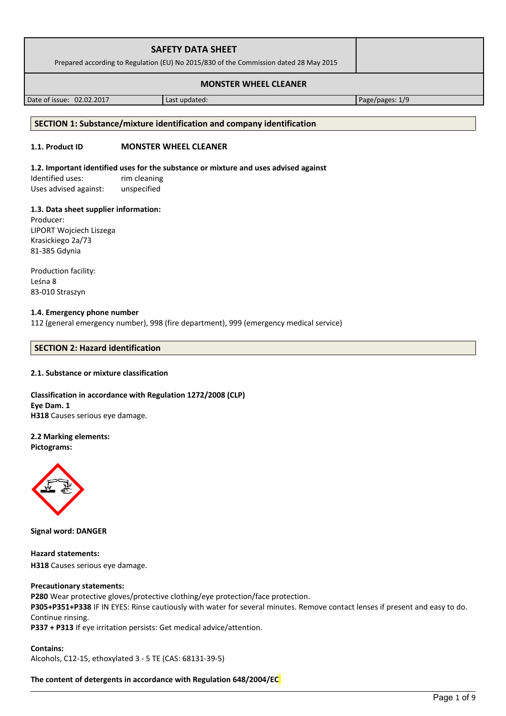| <b>SAFETY DATA SHEET</b><br>Prepared according to Regulation (EU) No 2015/830 of the Commission dated 28 May 2015 |  |
|-------------------------------------------------------------------------------------------------------------------|--|
| <b>MONSTER WHEEL CLEANER</b>                                                                                      |  |

Date of issue: 02.02.2017 Last updated: Page/pages: 1/9

#### **SECTION 1: Substance/mixture identification and company identification**

## **1.1. Product ID MONSTER WHEEL CLEANER**

#### **1.2. Important identified uses for the substance or mixture and uses advised against**

Identified uses: rim cleaning Uses advised against: unspecified

### **1.3. Data sheet supplier information:**

Producer: LIPORT Wojciech Liszega Krasickiego 2a/73 81-385 Gdynia

Production facility: Leśna 8 83-010 Straszyn

## **1.4. Emergency phone number**

112 (general emergency number), 998 (fire department), 999 (emergency medical service)

## **SECTION 2: Hazard identification**

### **2.1. Substance or mixture classification**

**Classification in accordance with Regulation 1272/2008 (CLP) Eye Dam. 1 H318** Causes serious eye damage.

# **2.2 Marking elements:**

**Pictograms:**



**Signal word: DANGER**

**Hazard statements: H318** Causes serious eye damage.

### **Precautionary statements:**

**P280** Wear protective gloves/protective clothing/eye protection/face protection.

**P305+P351+P338** IF IN EYES: Rinse cautiously with water for several minutes. Remove contact lenses if present and easy to do. Continue rinsing.

**P337 + P313** If eye irritation persists: Get medical advice/attention.

**Contains:**  Alcohols, C12-15, ethoxylated 3 - 5 TE (CAS: 68131-39-5)

**The content of detergents in accordance with Regulation 648/2004/EC**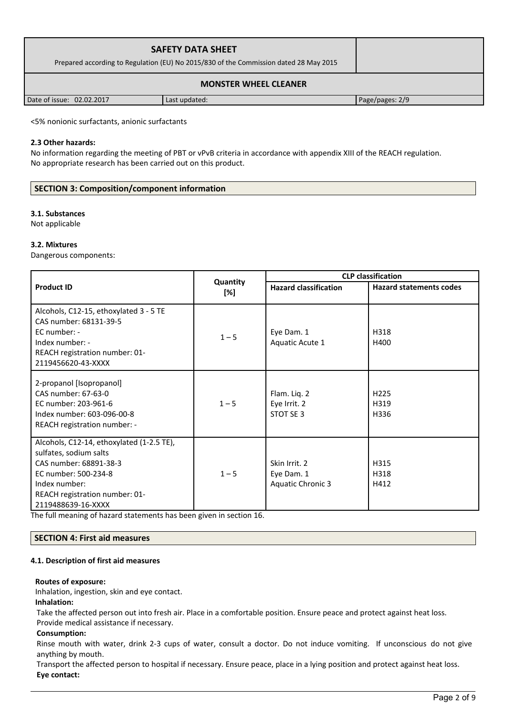| <b>SAFETY DATA SHEET</b><br>Prepared according to Regulation (EU) No 2015/830 of the Commission dated 28 May 2015 |               |                 |  |
|-------------------------------------------------------------------------------------------------------------------|---------------|-----------------|--|
| <b>MONSTER WHEEL CLEANER</b>                                                                                      |               |                 |  |
| Date of issue: 02.02.2017                                                                                         | Last updated: | Page/pages: 2/9 |  |

<5% nonionic surfactants, anionic surfactants

#### **2.3 Other hazards:**

No information regarding the meeting of PBT or vPvB criteria in accordance with appendix XIII of the REACH regulation. No appropriate research has been carried out on this product.

### **SECTION 3: Composition/component information**

#### **3.1. Substances**

Not applicable

#### **3.2. Mixtures**

Dangerous components:

|                                                                                                                                                                                                |                 | <b>CLP classification</b>                               |                                  |  |
|------------------------------------------------------------------------------------------------------------------------------------------------------------------------------------------------|-----------------|---------------------------------------------------------|----------------------------------|--|
| <b>Product ID</b>                                                                                                                                                                              | Quantity<br>[%] | <b>Hazard classification</b>                            | <b>Hazard statements codes</b>   |  |
| Alcohols, C12-15, ethoxylated 3 - 5 TE<br>CAS number: 68131-39-5<br>EC number: -<br>Index number: -<br>REACH registration number: 01-<br>2119456620-43-XXXX                                    | $1 - 5$         | Eye Dam. 1<br>Aquatic Acute 1                           | H318<br>H400                     |  |
| 2-propanol [Isopropanol]<br>CAS number: 67-63-0<br>EC number: 203-961-6<br>Index number: 603-096-00-8<br>REACH registration number: -                                                          | $1 - 5$         | Flam. Liq. 2<br>Eye Irrit. 2<br>STOT SE 3               | H <sub>225</sub><br>H319<br>H336 |  |
| Alcohols, C12-14, ethoxylated (1-2.5 TE),<br>sulfates, sodium salts<br>CAS number: 68891-38-3<br>EC number: 500-234-8<br>Index number:<br>REACH registration number: 01-<br>2119488639-16-XXXX | $1 - 5$         | Skin Irrit. 2<br>Eye Dam. 1<br><b>Aquatic Chronic 3</b> | H315<br>H318<br>H412             |  |

The full meaning of hazard statements has been given in section 16.

### **SECTION 4: First aid measures**

#### **4.1. Description of first aid measures**

#### **Routes of exposure:**

Inhalation, ingestion, skin and eye contact.

### **Inhalation:**

Take the affected person out into fresh air. Place in a comfortable position. Ensure peace and protect against heat loss. Provide medical assistance if necessary.

### **Consumption:**

Rinse mouth with water, drink 2-3 cups of water, consult a doctor. Do not induce vomiting. If unconscious do not give anything by mouth.

Transport the affected person to hospital if necessary. Ensure peace, place in a lying position and protect against heat loss. **Eye contact:**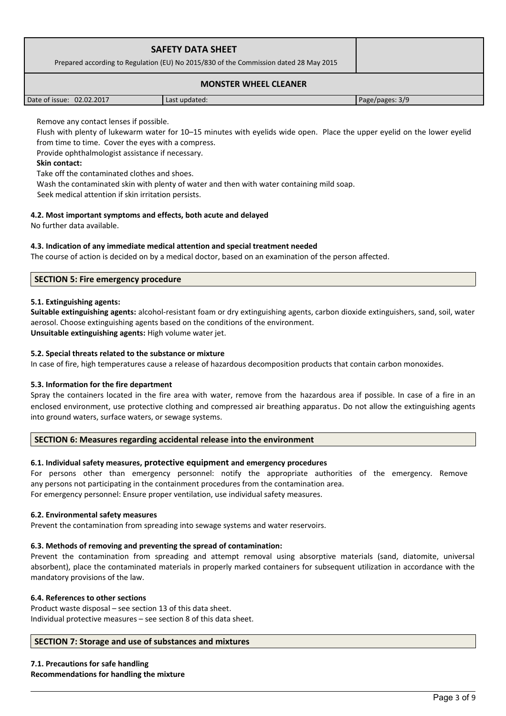| <b>SAFETY DATA SHEET</b><br>Prepared according to Regulation (EU) No 2015/830 of the Commission dated 28 May 2015 |               |                 |
|-------------------------------------------------------------------------------------------------------------------|---------------|-----------------|
| <b>MONSTER WHEEL CLEANER</b>                                                                                      |               |                 |
| Date of issue: 02.02.2017                                                                                         | Last updated: | Page/pages: 3/9 |

Remove any contact lenses if possible.

Flush with plenty of lukewarm water for 10–15 minutes with eyelids wide open. Place the upper eyelid on the lower eyelid from time to time. Cover the eyes with a compress.

Provide ophthalmologist assistance if necessary.

## **Skin contact:**

Take off the contaminated clothes and shoes.

Wash the contaminated skin with plenty of water and then with water containing mild soap.

Seek medical attention if skin irritation persists.

## **4.2. Most important symptoms and effects, both acute and delayed**

No further data available.

## **4.3. Indication of any immediate medical attention and special treatment needed**

The course of action is decided on by a medical doctor, based on an examination of the person affected.

## **SECTION 5: Fire emergency procedure**

### **5.1. Extinguishing agents:**

**Suitable extinguishing agents:** alcohol-resistant foam or dry extinguishing agents, carbon dioxide extinguishers, sand, soil, water aerosol. Choose extinguishing agents based on the conditions of the environment. **Unsuitable extinguishing agents:** High volume water jet.

### **5.2. Special threats related to the substance or mixture**

In case of fire, high temperatures cause a release of hazardous decomposition products that contain carbon monoxides.

### **5.3. Information for the fire department**

Spray the containers located in the fire area with water, remove from the hazardous area if possible. In case of a fire in an enclosed environment, use protective clothing and compressed air breathing apparatus. Do not allow the extinguishing agents into ground waters, surface waters, or sewage systems.

### **SECTION 6: Measures regarding accidental release into the environment**

## **6.1. Individual safety measures, protective equipment and emergency procedures**

For persons other than emergency personnel: notify the appropriate authorities of the emergency. Remove any persons not participating in the containment procedures from the contamination area.

For emergency personnel: Ensure proper ventilation, use individual safety measures.

### **6.2. Environmental safety measures**

Prevent the contamination from spreading into sewage systems and water reservoirs.

### **6.3. Methods of removing and preventing the spread of contamination:**

Prevent the contamination from spreading and attempt removal using absorptive materials (sand, diatomite, universal absorbent), place the contaminated materials in properly marked containers for subsequent utilization in accordance with the mandatory provisions of the law.

### **6.4. References to other sections**

Product waste disposal – see section 13 of this data sheet. Individual protective measures – see section 8 of this data sheet.

## **SECTION 7: Storage and use of substances and mixtures**

**7.1. Precautions for safe handling Recommendations for handling the mixture**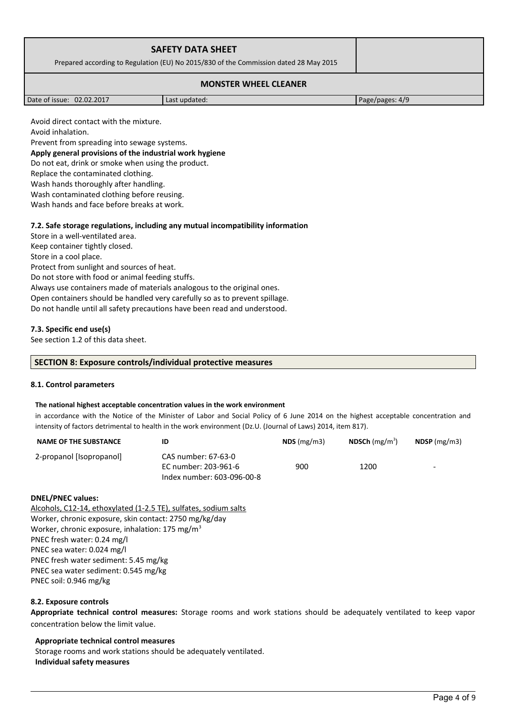|                              | <b>SAFETY DATA SHEET</b><br>Prepared according to Regulation (EU) No 2015/830 of the Commission dated 28 May 2015 |  |
|------------------------------|-------------------------------------------------------------------------------------------------------------------|--|
| <b>MONSTER WHEEL CLEANER</b> |                                                                                                                   |  |

| Date of issue: 02.02.2017 |  |
|---------------------------|--|
|---------------------------|--|

Last updated: 02.02.2017 Page/pages: 4/9

Avoid direct contact with the mixture.

Avoid inhalation.

Prevent from spreading into sewage systems.

# **Apply general provisions of the industrial work hygiene**

Do not eat, drink or smoke when using the product.

Replace the contaminated clothing.

Wash hands thoroughly after handling.

Wash contaminated clothing before reusing.

Wash hands and face before breaks at work.

## **7.2. Safe storage regulations, including any mutual incompatibility information**

Store in a well-ventilated area. Keep container tightly closed. Store in a cool place. Protect from sunlight and sources of heat. Do not store with food or animal feeding stuffs. Always use containers made of materials analogous to the original ones. Open containers should be handled very carefully so as to prevent spillage. Do not handle until all safety precautions have been read and understood.

## **7.3. Specific end use(s)**

See section 1.2 of this data sheet.

### **SECTION 8: Exposure controls/individual protective measures**

### **8.1. Control parameters**

### **The national highest acceptable concentration values in the work environment**

in accordance with the Notice of the Minister of Labor and Social Policy of 6 June 2014 on the highest acceptable concentration and intensity of factors detrimental to health in the work environment (Dz.U. (Journal of Laws) 2014, item 817).

| <b>NAME OF THE SUBSTANCE</b> |                                                                           | $NDS$ (mg/m3) | <b>NDSCh</b> (mg/m <sup>3</sup> ) | $NDSP$ (mg/m3)           |
|------------------------------|---------------------------------------------------------------------------|---------------|-----------------------------------|--------------------------|
| 2-propanol [Isopropanol]     | CAS number: 67-63-0<br>EC number: 203-961-6<br>Index number: 603-096-00-8 | 900           | 1200                              | $\overline{\phantom{0}}$ |

### **DNEL/PNEC values:**

Alcohols, C12-14, ethoxylated (1-2.5 TE), sulfates, sodium salts Worker, chronic exposure, skin contact: 2750 mg/kg/day Worker, chronic exposure, inhalation: 175 mg/m<sup>3</sup> PNEC fresh water: 0.24 mg/l PNEC sea water: 0.024 mg/l PNEC fresh water sediment: 5.45 mg/kg PNEC sea water sediment: 0.545 mg/kg PNEC soil: 0.946 mg/kg

### **8.2. Exposure controls**

**Appropriate technical control measures:** Storage rooms and work stations should be adequately ventilated to keep vapor concentration below the limit value.

**Appropriate technical control measures** Storage rooms and work stations should be adequately ventilated. **Individual safety measures**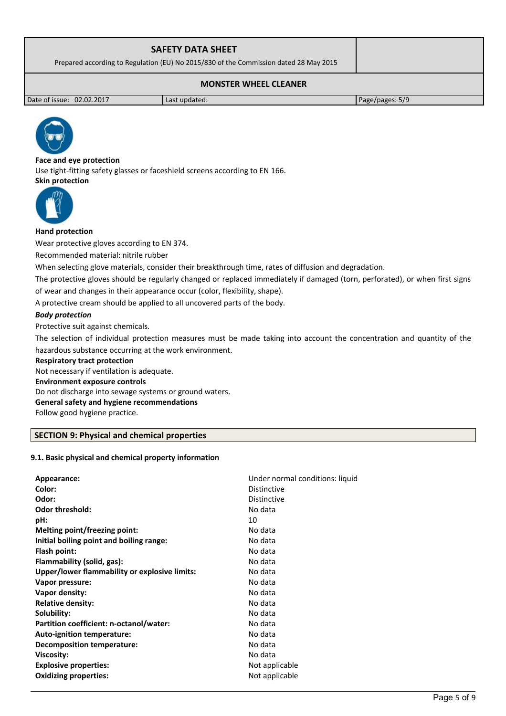| <b>SAFETY DATA SHEET</b><br>Prepared according to Regulation (EU) No 2015/830 of the Commission dated 28 May 2015 |  |  |
|-------------------------------------------------------------------------------------------------------------------|--|--|
| <b>MONSTER WHEEL CLEANER</b>                                                                                      |  |  |

Date of issue: 02.02.2017 **Last updated:** Page/pages: 5/9



**Face and eye protection** Use tight-fitting safety glasses or faceshield screens according to EN 166. **Skin protection** 



## **Hand protection**

Wear protective gloves according to EN 374.

Recommended material: nitrile rubber

When selecting glove materials, consider their breakthrough time, rates of diffusion and degradation.

The protective gloves should be regularly changed or replaced immediately if damaged (torn, perforated), or when first signs of wear and changes in their appearance occur (color, flexibility, shape).

A protective cream should be applied to all uncovered parts of the body.

## *Body protection*

Protective suit against chemicals.

The selection of individual protection measures must be made taking into account the concentration and quantity of the hazardous substance occurring at the work environment.

#### **Respiratory tract protection**

Not necessary if ventilation is adequate. **Environment exposure controls**  Do not discharge into sewage systems or ground waters. **General safety and hygiene recommendations** Follow good hygiene practice.

## **SECTION 9: Physical and chemical properties**

## **9.1. Basic physical and chemical property information**

| Color:<br><b>Distinctive</b><br>Odor:<br><b>Distinctive</b><br><b>Odor threshold:</b><br>No data<br>10<br>pH: |
|---------------------------------------------------------------------------------------------------------------|
|                                                                                                               |
|                                                                                                               |
|                                                                                                               |
|                                                                                                               |
| Melting point/freezing point:<br>No data                                                                      |
| Initial boiling point and boiling range:<br>No data                                                           |
| No data<br>Flash point:                                                                                       |
| Flammability (solid, gas):<br>No data                                                                         |
| Upper/lower flammability or explosive limits:<br>No data                                                      |
| No data<br>Vapor pressure:                                                                                    |
| No data<br>Vapor density:                                                                                     |
| <b>Relative density:</b><br>No data                                                                           |
| Solubility:<br>No data                                                                                        |
| Partition coefficient: n-octanol/water:<br>No data                                                            |
| No data<br>Auto-ignition temperature:                                                                         |
| No data<br><b>Decomposition temperature:</b>                                                                  |
| No data<br><b>Viscosity:</b>                                                                                  |
| <b>Explosive properties:</b><br>Not applicable                                                                |
| <b>Oxidizing properties:</b><br>Not applicable                                                                |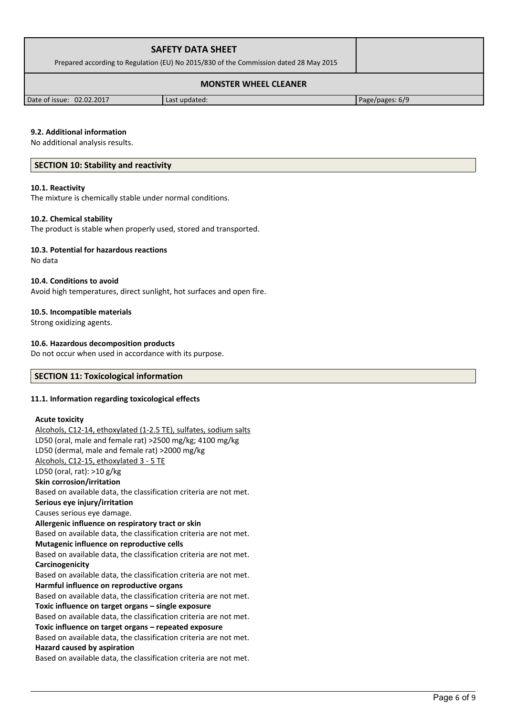| <b>SAFETY DATA SHEET</b><br>Prepared according to Regulation (EU) No 2015/830 of the Commission dated 28 May 2015 |               |                 |  |
|-------------------------------------------------------------------------------------------------------------------|---------------|-----------------|--|
| <b>MONSTER WHEEL CLEANER</b>                                                                                      |               |                 |  |
| Date of issue: 02.02.2017                                                                                         | Last updated: | Page/pages: 6/9 |  |

### **9.2. Additional information**

No additional analysis results.

#### **SECTION 10: Stability and reactivity**

#### **10.1. Reactivity**

The mixture is chemically stable under normal conditions.

#### **10.2. Chemical stability**

The product is stable when properly used, stored and transported.

#### **10.3. Potential for hazardous reactions**

No data

#### **10.4. Conditions to avoid**

Avoid high temperatures, direct sunlight, hot surfaces and open fire.

#### **10.5. Incompatible materials**

Strong oxidizing agents.

#### **10.6. Hazardous decomposition products**

Do not occur when used in accordance with its purpose.

## **SECTION 11: Toxicological information**

#### **11.1. Information regarding toxicological effects**

#### **Acute toxicity**

Alcohols, C12-14, ethoxylated (1-2.5 TE), sulfates, sodium salts LD50 (oral, male and female rat) >2500 mg/kg; 4100 mg/kg LD50 (dermal, male and female rat) >2000 mg/kg Alcohols, C12-15, ethoxylated 3 - 5 TE LD50 (oral, rat): >10 g/kg **Skin corrosion/irritation** Based on available data, the classification criteria are not met. **Serious eye injury/irritation** Causes serious eye damage. **Allergenic influence on respiratory tract or skin** Based on available data, the classification criteria are not met. **Mutagenic influence on reproductive cells** Based on available data, the classification criteria are not met. **Carcinogenicity** Based on available data, the classification criteria are not met. **Harmful influence on reproductive organs** Based on available data, the classification criteria are not met. **Toxic influence on target organs – single exposure** Based on available data, the classification criteria are not met. **Toxic influence on target organs – repeated exposure** Based on available data, the classification criteria are not met. **Hazard caused by aspiration** Based on available data, the classification criteria are not met.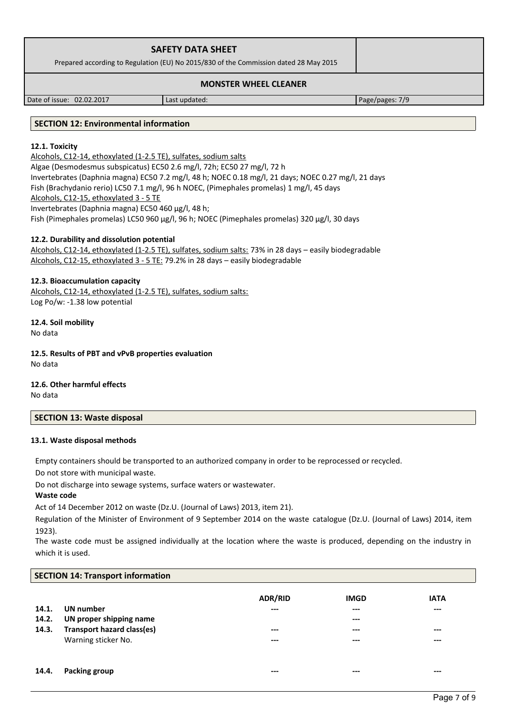| <b>SAFETY DATA SHEET</b><br>Prepared according to Regulation (EU) No 2015/830 of the Commission dated 28 May 2015 |  |
|-------------------------------------------------------------------------------------------------------------------|--|
|                                                                                                                   |  |

## **MONSTER WHEEL CLEANER**

Date of issue: 02.02.2017 Last updated: Page/pages: 7/9

### **SECTION 12: Environmental information**

## **12.1. Toxicity**

Alcohols, C12-14, ethoxylated (1-2.5 TE), sulfates, sodium salts Algae (Desmodesmus subspicatus) EC50 2.6 mg/l, 72h; EC50 27 mg/l, 72 h Invertebrates (Daphnia magna) EC50 7.2 mg/l, 48 h; NOEC 0.18 mg/l, 21 days; NOEC 0.27 mg/l, 21 days Fish (Brachydanio rerio) LC50 7.1 mg/l, 96 h NOEC, (Pimephales promelas) 1 mg/l, 45 days Alcohols, C12-15, ethoxylated 3 - 5 TE Invertebrates (Daphnia magna) EC50 460 µg/l, 48 h; Fish (Pimephales promelas) LC50 960 µg/l, 96 h; NOEC (Pimephales promelas) 320 µg/l, 30 days

### **12.2. Durability and dissolution potential**

Alcohols, C12-14, ethoxylated (1-2.5 TE), sulfates, sodium salts: 73% in 28 days – easily biodegradable Alcohols, C12-15, ethoxylated 3 - 5 TE: 79.2% in 28 days – easily biodegradable

### **12.3. Bioaccumulation capacity**

Alcohols, C12-14, ethoxylated (1-2.5 TE), sulfates, sodium salts: Log Po/w: -1.38 low potential

**12.4. Soil mobility** No data

**12.5. Results of PBT and vPvB properties evaluation** No data

**12.6. Other harmful effects** No data

## **SECTION 13: Waste disposal**

### **13.1. Waste disposal methods**

Empty containers should be transported to an authorized company in order to be reprocessed or recycled.

Do not store with municipal waste.

Do not discharge into sewage systems, surface waters or wastewater.

## **Waste code**

Act of 14 December 2012 on waste (Dz.U. (Journal of Laws) 2013, item 21).

Regulation of the Minister of Environment of 9 September 2014 on the waste catalogue (Dz.U. (Journal of Laws) 2014, item 1923).

The waste code must be assigned individually at the location where the waste is produced, depending on the industry in which it is used.

| <b>SECTION 14: Transport information</b> |                                   |                |             |             |  |
|------------------------------------------|-----------------------------------|----------------|-------------|-------------|--|
|                                          |                                   | <b>ADR/RID</b> | <b>IMGD</b> | <b>IATA</b> |  |
| 14.1.                                    | UN number                         | ---            | $-- -$      | $---$       |  |
| 14.2.                                    | UN proper shipping name           |                | $---$       |             |  |
| 14.3.                                    | <b>Transport hazard class(es)</b> | ---            | $---$       | $- - -$     |  |
|                                          | Warning sticker No.               | $---$          | $---$       | $---$       |  |
|                                          |                                   |                |             |             |  |
|                                          |                                   |                |             |             |  |
| 14.4.                                    | Packing group                     |                | ---         | $---$       |  |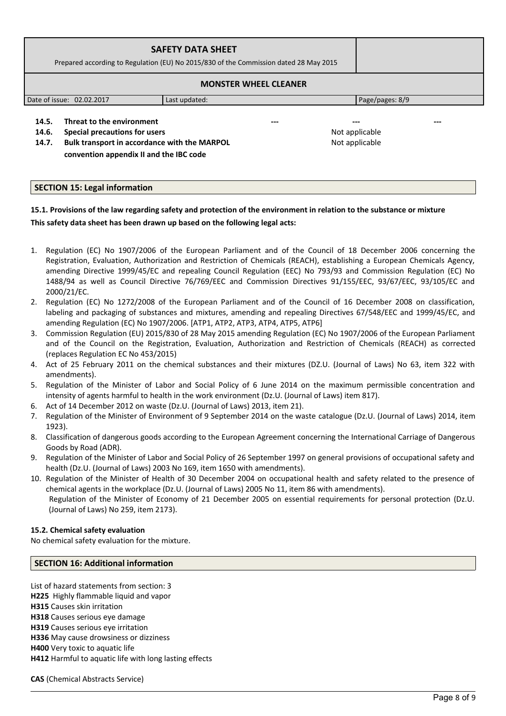| <b>SAFETY DATA SHEET</b><br>Prepared according to Regulation (EU) No 2015/830 of the Commission dated 28 May 2015 |               |                 |  |
|-------------------------------------------------------------------------------------------------------------------|---------------|-----------------|--|
| <b>MONSTER WHEEL CLEANER</b>                                                                                      |               |                 |  |
| Date of issue: 02.02.2017                                                                                         | Last updated: | Page/pages: 8/9 |  |
| Threat to the environment<br>14.5.                                                                                | ---           | $- - -$<br>---  |  |

**14.6. Special precautions for users Not applicable Not applicable 14.7. Bulk transport in accordance with the MARPOL convention appendix II and the IBC code** 

Not applicable

## **SECTION 15: Legal information**

# **15.1. Provisions of the law regarding safety and protection of the environment in relation to the substance or mixture This safety data sheet has been drawn up based on the following legal acts:**

- 1. Regulation (EC) No 1907/2006 of the European Parliament and of the Council of 18 December 2006 concerning the Registration, Evaluation, Authorization and Restriction of Chemicals (REACH), establishing a European Chemicals Agency, amending Directive 1999/45/EC and repealing Council Regulation (EEC) No 793/93 and Commission Regulation (EC) No 1488/94 as well as Council Directive 76/769/EEC and Commission Directives 91/155/EEC, 93/67/EEC, 93/105/EC and 2000/21/EC.
- 2. Regulation (EC) No 1272/2008 of the European Parliament and of the Council of 16 December 2008 on classification, labeling and packaging of substances and mixtures, amending and repealing Directives 67/548/EEC and 1999/45/EC, and amending Regulation (EC) No 1907/2006. [ATP1, ATP2, ATP3, ATP4, ATP5, ATP6]
- 3. Commission Regulation (EU) 2015/830 of 28 May 2015 amending Regulation (EC) No 1907/2006 of the European Parliament and of the Council on the Registration, Evaluation, Authorization and Restriction of Chemicals (REACH) as corrected (replaces Regulation EC No 453/2015)
- 4. Act of 25 February 2011 on the chemical substances and their mixtures (DZ.U. (Journal of Laws) No 63, item 322 with amendments).
- 5. Regulation of the Minister of Labor and Social Policy of 6 June 2014 on the maximum permissible concentration and intensity of agents harmful to health in the work environment (Dz.U. (Journal of Laws) item 817).
- 6. Act of 14 December 2012 on waste (Dz.U. (Journal of Laws) 2013, item 21).
- 7. Regulation of the Minister of Environment of 9 September 2014 on the waste catalogue (Dz.U. (Journal of Laws) 2014, item 1923).
- 8. Classification of dangerous goods according to the European Agreement concerning the International Carriage of Dangerous Goods by Road (ADR).
- 9. Regulation of the Minister of Labor and Social Policy of 26 September 1997 on general provisions of occupational safety and health (Dz.U. (Journal of Laws) 2003 No 169, item 1650 with amendments).
- 10. Regulation of the Minister of Health of 30 December 2004 on occupational health and safety related to the presence of chemical agents in the workplace (Dz.U. (Journal of Laws) 2005 No 11, item 86 with amendments). Regulation of the Minister of Economy of 21 December 2005 on essential requirements for personal protection (Dz.U. (Journal of Laws) No 259, item 2173).

## **15.2. Chemical safety evaluation**

No chemical safety evaluation for the mixture.

### **SECTION 16: Additional information**

List of hazard statements from section: 3 **H225** Highly flammable liquid and vapor **H315** Causes skin irritation **H318** Causes serious eye damage **H319** Causes serious eye irritation **H336** May cause drowsiness or dizziness **H400** Very toxic to aquatic life **H412** Harmful to aquatic life with long lasting effects

**CAS** (Chemical Abstracts Service)